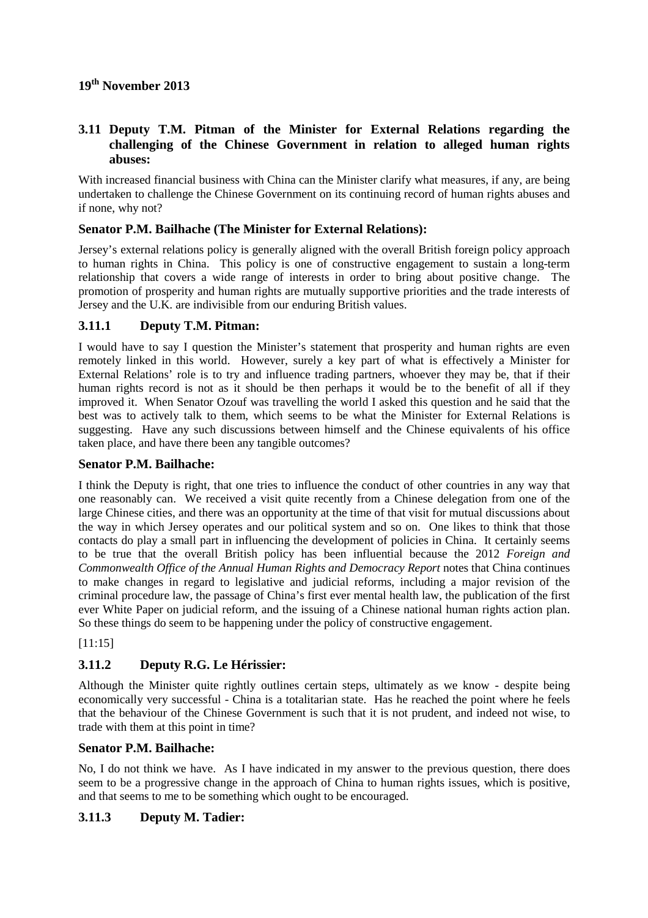# **19th November 2013**

# **3.11 Deputy T.M. Pitman of the Minister for External Relations regarding the challenging of the Chinese Government in relation to alleged human rights abuses:**

With increased financial business with China can the Minister clarify what measures, if any, are being undertaken to challenge the Chinese Government on its continuing record of human rights abuses and if none, why not?

## **Senator P.M. Bailhache (The Minister for External Relations):**

Jersey's external relations policy is generally aligned with the overall British foreign policy approach to human rights in China. This policy is one of constructive engagement to sustain a long-term relationship that covers a wide range of interests in order to bring about positive change. The promotion of prosperity and human rights are mutually supportive priorities and the trade interests of Jersey and the U.K. are indivisible from our enduring British values.

# **3.11.1 Deputy T.M. Pitman:**

I would have to say I question the Minister's statement that prosperity and human rights are even remotely linked in this world. However, surely a key part of what is effectively a Minister for External Relations' role is to try and influence trading partners, whoever they may be, that if their human rights record is not as it should be then perhaps it would be to the benefit of all if they improved it. When Senator Ozouf was travelling the world I asked this question and he said that the best was to actively talk to them, which seems to be what the Minister for External Relations is suggesting. Have any such discussions between himself and the Chinese equivalents of his office taken place, and have there been any tangible outcomes?

#### **Senator P.M. Bailhache:**

I think the Deputy is right, that one tries to influence the conduct of other countries in any way that one reasonably can. We received a visit quite recently from a Chinese delegation from one of the large Chinese cities, and there was an opportunity at the time of that visit for mutual discussions about the way in which Jersey operates and our political system and so on. One likes to think that those contacts do play a small part in influencing the development of policies in China. It certainly seems to be true that the overall British policy has been influential because the 2012 *Foreign and Commonwealth Office of the Annual Human Rights and Democracy Report* notes that China continues to make changes in regard to legislative and judicial reforms, including a major revision of the criminal procedure law, the passage of China's first ever mental health law, the publication of the first ever White Paper on judicial reform, and the issuing of a Chinese national human rights action plan. So these things do seem to be happening under the policy of constructive engagement.

#### [11:15]

# **3.11.2 Deputy R.G. Le Hérissier:**

Although the Minister quite rightly outlines certain steps, ultimately as we know - despite being economically very successful - China is a totalitarian state. Has he reached the point where he feels that the behaviour of the Chinese Government is such that it is not prudent, and indeed not wise, to trade with them at this point in time?

#### **Senator P.M. Bailhache:**

No, I do not think we have. As I have indicated in my answer to the previous question, there does seem to be a progressive change in the approach of China to human rights issues, which is positive, and that seems to me to be something which ought to be encouraged.

#### **3.11.3 Deputy M. Tadier:**